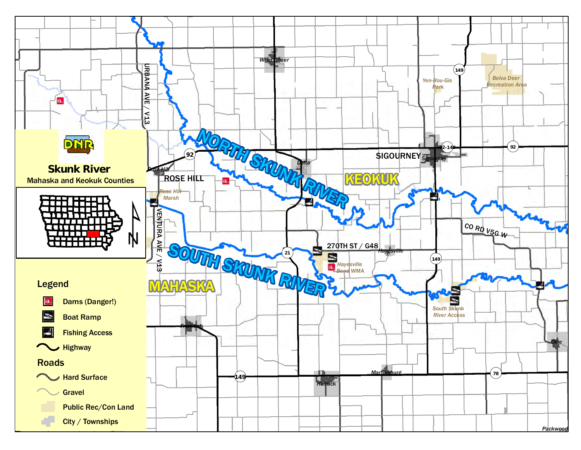